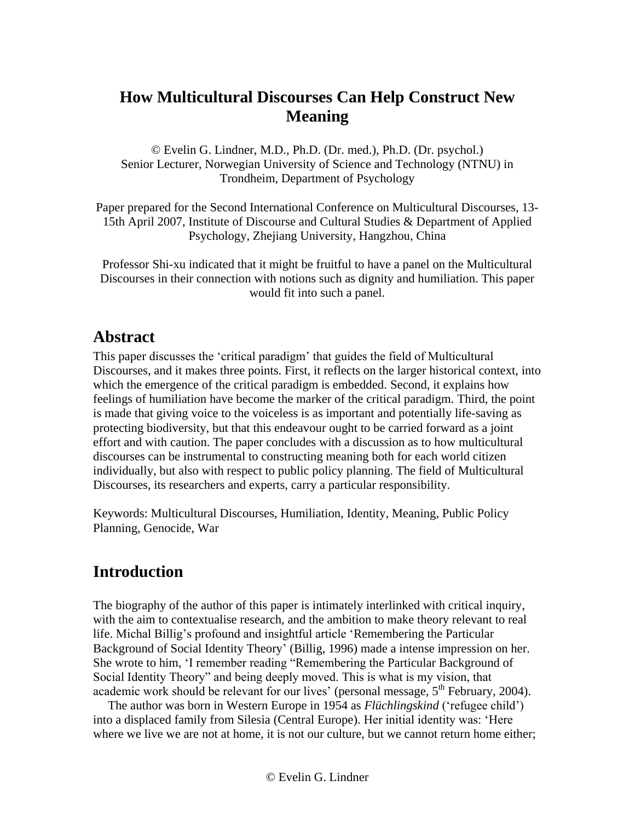# **How Multicultural Discourses Can Help Construct New Meaning**

© Evelin G. Lindner, M.D., Ph.D. (Dr. med.), Ph.D. (Dr. psychol.) Senior Lecturer, Norwegian University of Science and Technology (NTNU) in Trondheim, Department of Psychology

Paper prepared for the Second International Conference on Multicultural Discourses, 13- 15th April 2007, Institute of Discourse and Cultural Studies & Department of Applied Psychology, Zhejiang University, Hangzhou, China

Professor Shi-xu indicated that it might be fruitful to have a panel on the Multicultural Discourses in their connection with notions such as dignity and humiliation. This paper would fit into such a panel.

# **Abstract**

This paper discusses the 'critical paradigm' that guides the field of Multicultural Discourses, and it makes three points. First, it reflects on the larger historical context, into which the emergence of the critical paradigm is embedded. Second, it explains how feelings of humiliation have become the marker of the critical paradigm. Third, the point is made that giving voice to the voiceless is as important and potentially life-saving as protecting biodiversity, but that this endeavour ought to be carried forward as a joint effort and with caution. The paper concludes with a discussion as to how multicultural discourses can be instrumental to constructing meaning both for each world citizen individually, but also with respect to public policy planning. The field of Multicultural Discourses, its researchers and experts, carry a particular responsibility.

Keywords: Multicultural Discourses, Humiliation, Identity, Meaning, Public Policy Planning, Genocide, War

# **Introduction**

The biography of the author of this paper is intimately interlinked with critical inquiry, with the aim to contextualise research, and the ambition to make theory relevant to real life. Michal Billig's profound and insightful article 'Remembering the Particular Background of Social Identity Theory' (Billig, 1996) made a intense impression on her. She wrote to him, 'I remember reading "Remembering the Particular Background of Social Identity Theory" and being deeply moved. This is what is my vision, that academic work should be relevant for our lives' (personal message,  $5<sup>th</sup>$  February, 2004).

The author was born in Western Europe in 1954 as *Flüchlingskind* ('refugee child') into a displaced family from Silesia (Central Europe). Her initial identity was: 'Here where we live we are not at home, it is not our culture, but we cannot return home either;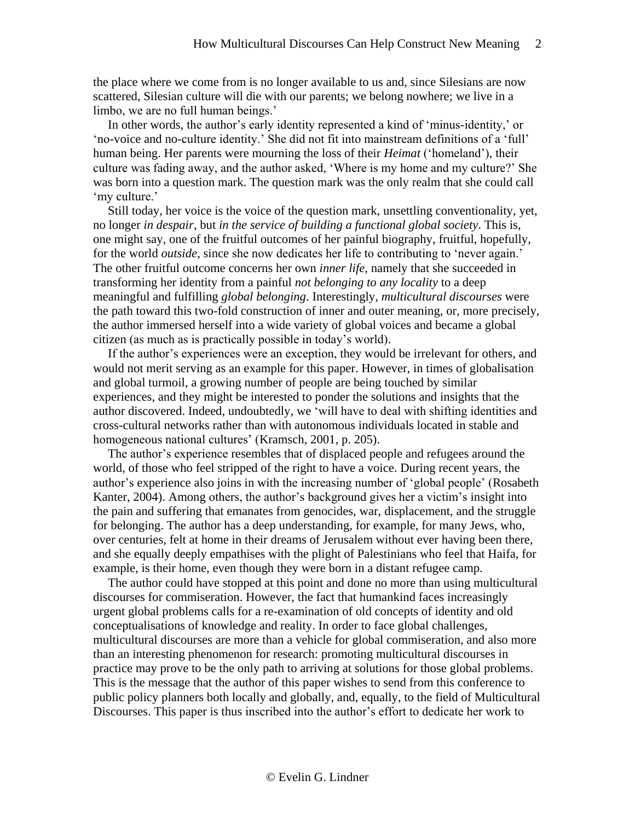the place where we come from is no longer available to us and, since Silesians are now scattered, Silesian culture will die with our parents; we belong nowhere; we live in a limbo, we are no full human beings.'

In other words, the author's early identity represented a kind of 'minus-identity,' or 'no-voice and no-culture identity.' She did not fit into mainstream definitions of a 'full' human being. Her parents were mourning the loss of their *Heimat* ('homeland'), their culture was fading away, and the author asked, 'Where is my home and my culture?' She was born into a question mark. The question mark was the only realm that she could call 'my culture.'

Still today, her voice is the voice of the question mark, unsettling conventionality, yet, no longer *in despair*, but *in the service of building a functional global society*. This is, one might say, one of the fruitful outcomes of her painful biography, fruitful, hopefully, for the world *outside*, since she now dedicates her life to contributing to 'never again.' The other fruitful outcome concerns her own *inner life*, namely that she succeeded in transforming her identity from a painful *not belonging to any locality* to a deep meaningful and fulfilling *global belonging*. Interestingly, *multicultural discourses* were the path toward this two-fold construction of inner and outer meaning, or, more precisely, the author immersed herself into a wide variety of global voices and became a global citizen (as much as is practically possible in today's world).

If the author's experiences were an exception, they would be irrelevant for others, and would not merit serving as an example for this paper. However, in times of globalisation and global turmoil, a growing number of people are being touched by similar experiences, and they might be interested to ponder the solutions and insights that the author discovered. Indeed, undoubtedly, we 'will have to deal with shifting identities and cross-cultural networks rather than with autonomous individuals located in stable and homogeneous national cultures' (Kramsch, 2001, p. 205).

The author's experience resembles that of displaced people and refugees around the world, of those who feel stripped of the right to have a voice. During recent years, the author's experience also joins in with the increasing number of 'global people' (Rosabeth Kanter, 2004). Among others, the author's background gives her a victim's insight into the pain and suffering that emanates from genocides, war, displacement, and the struggle for belonging. The author has a deep understanding, for example, for many Jews, who, over centuries, felt at home in their dreams of Jerusalem without ever having been there, and she equally deeply empathises with the plight of Palestinians who feel that Haifa, for example, is their home, even though they were born in a distant refugee camp.

The author could have stopped at this point and done no more than using multicultural discourses for commiseration. However, the fact that humankind faces increasingly urgent global problems calls for a re-examination of old concepts of identity and old conceptualisations of knowledge and reality. In order to face global challenges, multicultural discourses are more than a vehicle for global commiseration, and also more than an interesting phenomenon for research: promoting multicultural discourses in practice may prove to be the only path to arriving at solutions for those global problems. This is the message that the author of this paper wishes to send from this conference to public policy planners both locally and globally, and, equally, to the field of Multicultural Discourses. This paper is thus inscribed into the author's effort to dedicate her work to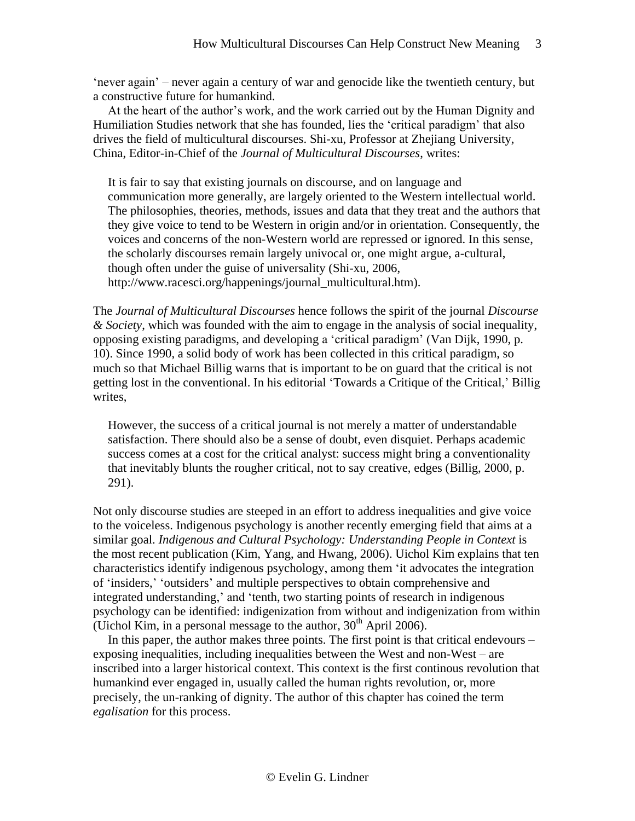'never again' – never again a century of war and genocide like the twentieth century, but a constructive future for humankind.

At the heart of the author's work, and the work carried out by the Human Dignity and Humiliation Studies network that she has founded, lies the 'critical paradigm' that also drives the field of multicultural discourses. Shi-xu, Professor at Zhejiang University, China, Editor-in-Chief of the *Journal of Multicultural Discourses*, writes:

It is fair to say that existing journals on discourse, and on language and communication more generally, are largely oriented to the Western intellectual world. The philosophies, theories, methods, issues and data that they treat and the authors that they give voice to tend to be Western in origin and/or in orientation. Consequently, the voices and concerns of the non-Western world are repressed or ignored. In this sense, the scholarly discourses remain largely univocal or, one might argue, a-cultural, though often under the guise of universality (Shi-xu, 2006, http://www.racesci.org/happenings/journal\_multicultural.htm).

The *Journal of Multicultural Discourses* hence follows the spirit of the journal *Discourse & Society*, which was founded with the aim to engage in the analysis of social inequality, opposing existing paradigms, and developing a 'critical paradigm' (Van Dijk, 1990, p. 10). Since 1990, a solid body of work has been collected in this critical paradigm, so much so that Michael Billig warns that is important to be on guard that the critical is not getting lost in the conventional. In his editorial 'Towards a Critique of the Critical,' Billig writes,

However, the success of a critical journal is not merely a matter of understandable satisfaction. There should also be a sense of doubt, even disquiet. Perhaps academic success comes at a cost for the critical analyst: success might bring a conventionality that inevitably blunts the rougher critical, not to say creative, edges (Billig, 2000, p. 291).

Not only discourse studies are steeped in an effort to address inequalities and give voice to the voiceless. Indigenous psychology is another recently emerging field that aims at a similar goal. *Indigenous and Cultural Psychology: Understanding People in Context* is the most recent publication (Kim, Yang, and Hwang, 2006). Uichol Kim explains that ten characteristics identify indigenous psychology, among them 'it advocates the integration of 'insiders,' 'outsiders' and multiple perspectives to obtain comprehensive and integrated understanding,' and 'tenth, two starting points of research in indigenous psychology can be identified: indigenization from without and indigenization from within (Uichol Kim, in a personal message to the author,  $30<sup>th</sup>$  April 2006).

In this paper, the author makes three points. The first point is that critical endevours – exposing inequalities, including inequalities between the West and non-West – are inscribed into a larger historical context. This context is the first continous revolution that humankind ever engaged in, usually called the human rights revolution, or, more precisely, the un-ranking of dignity. The author of this chapter has coined the term *egalisation* for this process.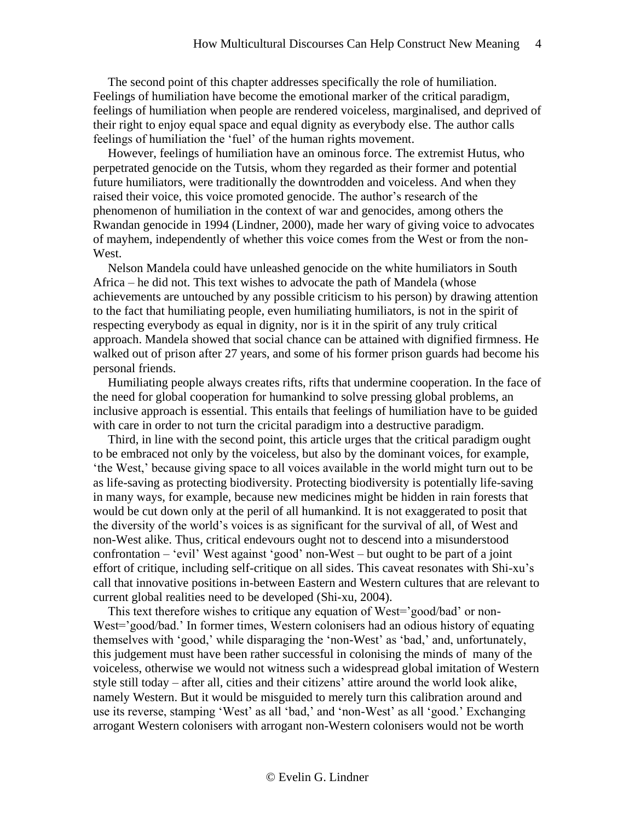The second point of this chapter addresses specifically the role of humiliation. Feelings of humiliation have become the emotional marker of the critical paradigm, feelings of humiliation when people are rendered voiceless, marginalised, and deprived of their right to enjoy equal space and equal dignity as everybody else. The author calls feelings of humiliation the 'fuel' of the human rights movement.

However, feelings of humiliation have an ominous force. The extremist Hutus, who perpetrated genocide on the Tutsis, whom they regarded as their former and potential future humiliators, were traditionally the downtrodden and voiceless. And when they raised their voice, this voice promoted genocide. The author's research of the phenomenon of humiliation in the context of war and genocides, among others the Rwandan genocide in 1994 (Lindner, 2000), made her wary of giving voice to advocates of mayhem, independently of whether this voice comes from the West or from the non-West.

Nelson Mandela could have unleashed genocide on the white humiliators in South Africa – he did not. This text wishes to advocate the path of Mandela (whose achievements are untouched by any possible criticism to his person) by drawing attention to the fact that humiliating people, even humiliating humiliators, is not in the spirit of respecting everybody as equal in dignity, nor is it in the spirit of any truly critical approach. Mandela showed that social chance can be attained with dignified firmness. He walked out of prison after 27 years, and some of his former prison guards had become his personal friends.

Humiliating people always creates rifts, rifts that undermine cooperation. In the face of the need for global cooperation for humankind to solve pressing global problems, an inclusive approach is essential. This entails that feelings of humiliation have to be guided with care in order to not turn the cricital paradigm into a destructive paradigm.

Third, in line with the second point, this article urges that the critical paradigm ought to be embraced not only by the voiceless, but also by the dominant voices, for example, 'the West,' because giving space to all voices available in the world might turn out to be as life-saving as protecting biodiversity. Protecting biodiversity is potentially life-saving in many ways, for example, because new medicines might be hidden in rain forests that would be cut down only at the peril of all humankind. It is not exaggerated to posit that the diversity of the world's voices is as significant for the survival of all, of West and non-West alike. Thus, critical endevours ought not to descend into a misunderstood confrontation – 'evil' West against 'good' non-West – but ought to be part of a joint effort of critique, including self-critique on all sides. This caveat resonates with Shi-xu's call that innovative positions in-between Eastern and Western cultures that are relevant to current global realities need to be developed (Shi-xu, 2004).

This text therefore wishes to critique any equation of West='good/bad' or non-West='good/bad.' In former times, Western colonisers had an odious history of equating themselves with 'good,' while disparaging the 'non-West' as 'bad,' and, unfortunately, this judgement must have been rather successful in colonising the minds of many of the voiceless, otherwise we would not witness such a widespread global imitation of Western style still today – after all, cities and their citizens' attire around the world look alike, namely Western. But it would be misguided to merely turn this calibration around and use its reverse, stamping 'West' as all 'bad,' and 'non-West' as all 'good.' Exchanging arrogant Western colonisers with arrogant non-Western colonisers would not be worth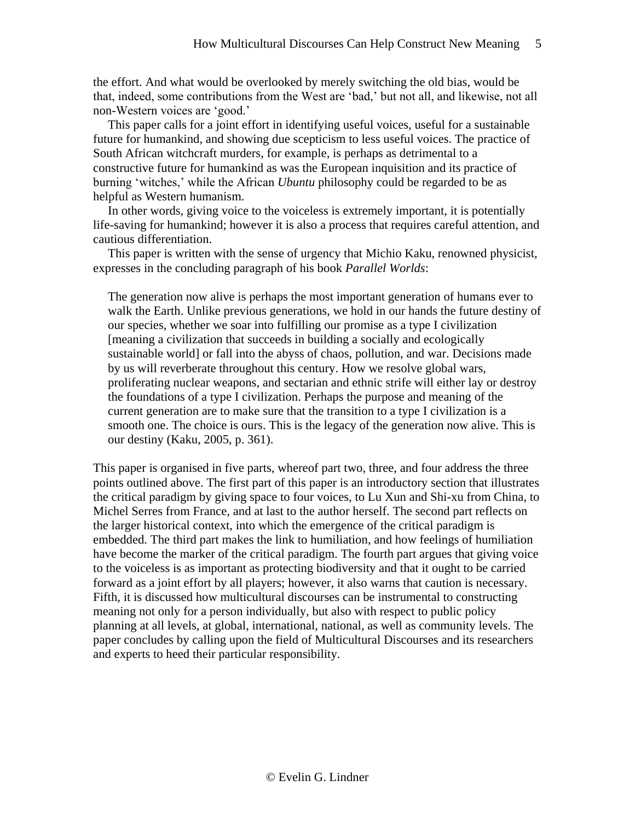the effort. And what would be overlooked by merely switching the old bias, would be that, indeed, some contributions from the West are 'bad,' but not all, and likewise, not all non-Western voices are 'good.'

This paper calls for a joint effort in identifying useful voices, useful for a sustainable future for humankind, and showing due scepticism to less useful voices. The practice of South African witchcraft murders, for example, is perhaps as detrimental to a constructive future for humankind as was the European inquisition and its practice of burning 'witches,' while the African *Ubuntu* philosophy could be regarded to be as helpful as Western humanism.

In other words, giving voice to the voiceless is extremely important, it is potentially life-saving for humankind; however it is also a process that requires careful attention, and cautious differentiation.

This paper is written with the sense of urgency that Michio Kaku, renowned physicist, expresses in the concluding paragraph of his book *Parallel Worlds*:

The generation now alive is perhaps the most important generation of humans ever to walk the Earth. Unlike previous generations, we hold in our hands the future destiny of our species, whether we soar into fulfilling our promise as a type I civilization [meaning a civilization that succeeds in building a socially and ecologically sustainable world] or fall into the abyss of chaos, pollution, and war. Decisions made by us will reverberate throughout this century. How we resolve global wars, proliferating nuclear weapons, and sectarian and ethnic strife will either lay or destroy the foundations of a type I civilization. Perhaps the purpose and meaning of the current generation are to make sure that the transition to a type I civilization is a smooth one. The choice is ours. This is the legacy of the generation now alive. This is our destiny (Kaku, 2005, p. 361).

This paper is organised in five parts, whereof part two, three, and four address the three points outlined above. The first part of this paper is an introductory section that illustrates the critical paradigm by giving space to four voices, to Lu Xun and Shi-xu from China, to Michel Serres from France, and at last to the author herself. The second part reflects on the larger historical context, into which the emergence of the critical paradigm is embedded. The third part makes the link to humiliation, and how feelings of humiliation have become the marker of the critical paradigm. The fourth part argues that giving voice to the voiceless is as important as protecting biodiversity and that it ought to be carried forward as a joint effort by all players; however, it also warns that caution is necessary. Fifth, it is discussed how multicultural discourses can be instrumental to constructing meaning not only for a person individually, but also with respect to public policy planning at all levels, at global, international, national, as well as community levels. The paper concludes by calling upon the field of Multicultural Discourses and its researchers and experts to heed their particular responsibility.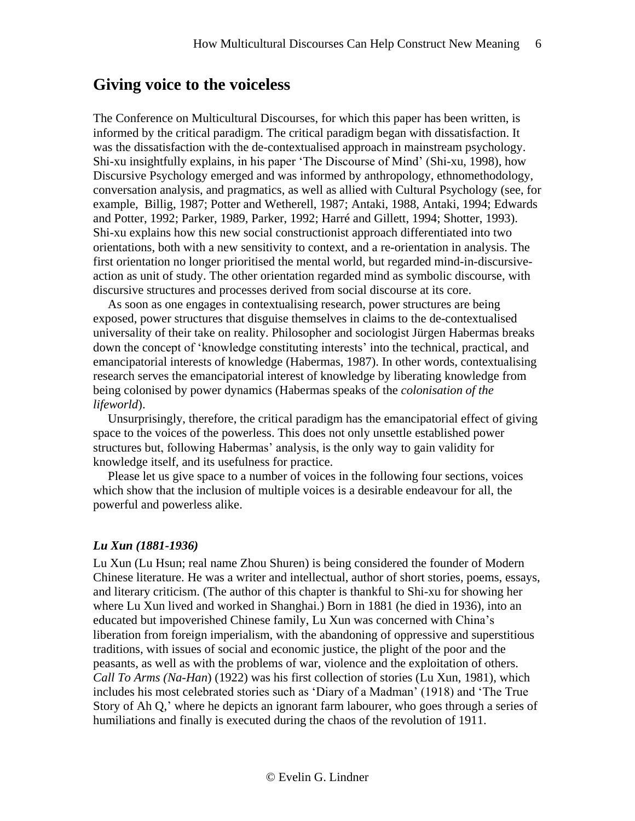## **Giving voice to the voiceless**

The Conference on Multicultural Discourses, for which this paper has been written, is informed by the critical paradigm. The critical paradigm began with dissatisfaction. It was the dissatisfaction with the de-contextualised approach in mainstream psychology. Shi-xu insightfully explains, in his paper 'The Discourse of Mind' (Shi-xu, 1998), how Discursive Psychology emerged and was informed by anthropology, ethnomethodology, conversation analysis, and pragmatics, as well as allied with Cultural Psychology (see, for example, Billig, 1987; Potter and Wetherell, 1987; Antaki, 1988, Antaki, 1994; Edwards and Potter, 1992; Parker, 1989, Parker, 1992; Harré and Gillett, 1994; Shotter, 1993). Shi-xu explains how this new social constructionist approach differentiated into two orientations, both with a new sensitivity to context, and a re-orientation in analysis. The first orientation no longer prioritised the mental world, but regarded mind-in-discursiveaction as unit of study. The other orientation regarded mind as symbolic discourse, with discursive structures and processes derived from social discourse at its core.

As soon as one engages in contextualising research, power structures are being exposed, power structures that disguise themselves in claims to the de-contextualised universality of their take on reality. Philosopher and sociologist Jürgen Habermas breaks down the concept of 'knowledge constituting interests' into the technical, practical, and emancipatorial interests of knowledge (Habermas, 1987). In other words, contextualising research serves the emancipatorial interest of knowledge by liberating knowledge from being colonised by power dynamics (Habermas speaks of the *colonisation of the lifeworld*).

Unsurprisingly, therefore, the critical paradigm has the emancipatorial effect of giving space to the voices of the powerless. This does not only unsettle established power structures but, following Habermas' analysis, is the only way to gain validity for knowledge itself, and its usefulness for practice.

Please let us give space to a number of voices in the following four sections, voices which show that the inclusion of multiple voices is a desirable endeavour for all, the powerful and powerless alike.

#### *Lu Xun (1881-1936)*

Lu Xun (Lu Hsun; real name Zhou Shuren) is being considered the founder of Modern Chinese literature. He was a writer and intellectual, author of short stories, poems, essays, and literary criticism. (The author of this chapter is thankful to Shi-xu for showing her where Lu Xun lived and worked in Shanghai.) Born in 1881 (he died in 1936), into an educated but impoverished Chinese family, Lu Xun was concerned with China's liberation from foreign imperialism, with the abandoning of oppressive and superstitious traditions, with issues of social and economic justice, the plight of the poor and the peasants, as well as with the problems of war, violence and the exploitation of others. *Call To Arms (Na-Han*) (1922) was his first collection of stories (Lu Xun, 1981), which includes his most celebrated stories such as 'Diary of a Madman' (1918) and 'The True Story of Ah Q,' where he depicts an ignorant farm labourer, who goes through a series of humiliations and finally is executed during the chaos of the revolution of 1911.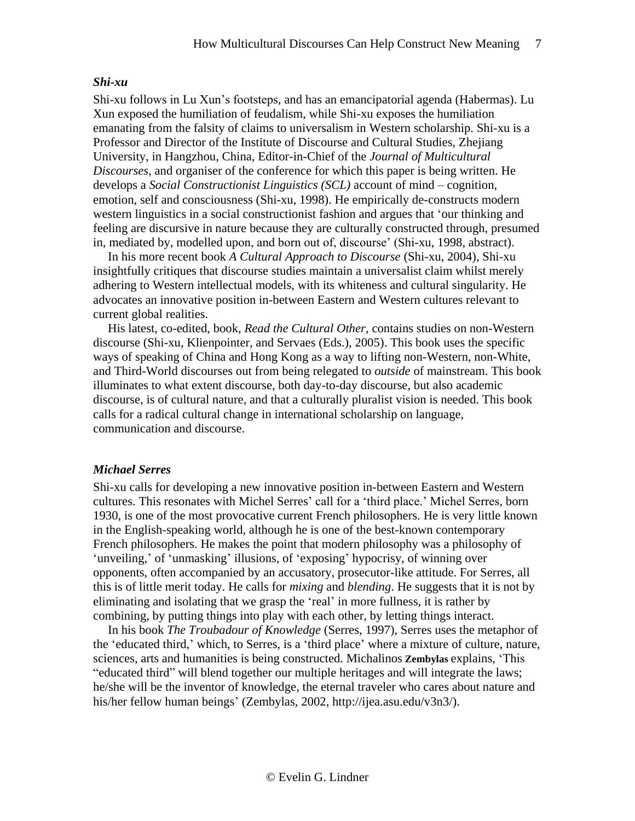#### *Shi-xu*

Shi-xu follows in Lu Xun's footsteps, and has an emancipatorial agenda (Habermas). Lu Xun exposed the humiliation of feudalism, while Shi-xu exposes the humiliation emanating from the falsity of claims to universalism in Western scholarship. Shi-xu is a Professor and Director of the Institute of Discourse and Cultural Studies, Zhejiang University, in Hangzhou, China, Editor-in-Chief of the *Journal of Multicultural Discourses*, and organiser of the conference for which this paper is being written. He develops a *Social Constructionist Linguistics (SCL)* account of mind – cognition, emotion, self and consciousness (Shi-xu, 1998). He empirically de-constructs modern western linguistics in a social constructionist fashion and argues that 'our thinking and feeling are discursive in nature because they are culturally constructed through, presumed in, mediated by, modelled upon, and born out of, discourse' (Shi-xu, 1998, abstract).

In his more recent book *A Cultural Approach to Discourse* (Shi-xu, 2004), Shi-xu insightfully critiques that discourse studies maintain a universalist claim whilst merely adhering to Western intellectual models, with its whiteness and cultural singularity. He advocates an innovative position in-between Eastern and Western cultures relevant to current global realities.

His latest, co-edited, book, *Read the Cultural Other*, contains studies on non-Western discourse (Shi-xu, Klienpointer, and Servaes (Eds.), 2005). This book uses the specific ways of speaking of China and Hong Kong as a way to lifting non-Western, non-White, and Third-World discourses out from being relegated to *outside* of mainstream. This book illuminates to what extent discourse, both day-to-day discourse, but also academic discourse, is of cultural nature, and that a culturally pluralist vision is needed. This book calls for a radical cultural change in international scholarship on language, communication and discourse.

#### *Michael Serres*

Shi-xu calls for developing a new innovative position in-between Eastern and Western cultures. This resonates with Michel Serres' call for a 'third place.' Michel Serres, born 1930, is one of the most provocative current French philosophers. He is very little known in the English-speaking world, although he is one of the best-known contemporary French philosophers. He makes the point that modern philosophy was a philosophy of 'unveiling,' of 'unmasking' illusions, of 'exposing' hypocrisy, of winning over opponents, often accompanied by an accusatory, prosecutor-like attitude. For Serres, all this is of little merit today. He calls for *mixing* and *blending*. He suggests that it is not by eliminating and isolating that we grasp the 'real' in more fullness, it is rather by combining, by putting things into play with each other, by letting things interact.

In his book *The Troubadour of Knowledge* (Serres, 1997), Serres uses the metaphor of the 'educated third,' which, to Serres, is a 'third place' where a mixture of culture, nature, sciences, arts and humanities is being constructed. Michalinos **Zembylas** explains, 'This "educated third" will blend together our multiple heritages and will integrate the laws; he/she will be the inventor of knowledge, the eternal traveler who cares about nature and his/her fellow human beings' (Zembylas, 2002, [http://ijea.asu.edu/v3n3/\)](http://ijea.asu.edu/v3n3/).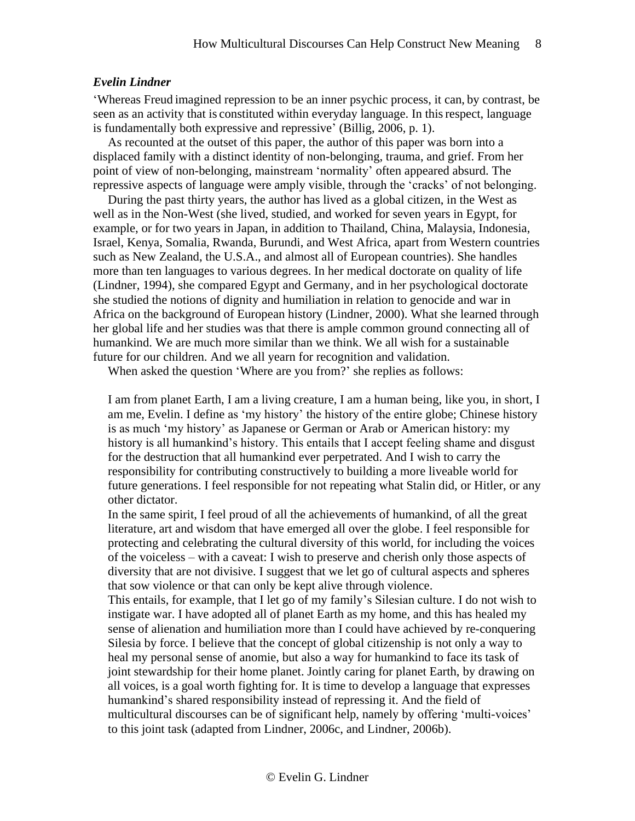#### *Evelin Lindner*

'Whereas Freud imagined repression to be an inner psychic process, it can, by contrast, be seen as an activity that is constituted within everyday language. In thisrespect, language is fundamentally both expressive and repressive' (Billig, 2006, p. 1).

As recounted at the outset of this paper, the author of this paper was born into a displaced family with a distinct identity of non-belonging, trauma, and grief. From her point of view of non-belonging, mainstream 'normality' often appeared absurd. The repressive aspects of language were amply visible, through the 'cracks' of not belonging.

During the past thirty years, the author has lived as a global citizen, in the West as well as in the Non-West (she lived, studied, and worked for seven years in Egypt, for example, or for two years in Japan, in addition to Thailand, China, Malaysia, Indonesia, Israel, Kenya, Somalia, Rwanda, Burundi, and West Africa, apart from Western countries such as New Zealand, the U.S.A., and almost all of European countries). She handles more than ten languages to various degrees. In her medical doctorate on quality of life (Lindner, 1994), she compared Egypt and Germany, and in her psychological doctorate she studied the notions of dignity and humiliation in relation to genocide and war in Africa on the background of European history (Lindner, 2000). What she learned through her global life and her studies was that there is ample common ground connecting all of humankind. We are much more similar than we think. We all wish for a sustainable future for our children. And we all yearn for recognition and validation.

When asked the question 'Where are you from?' she replies as follows:

I am from planet Earth, I am a living creature, I am a human being, like you, in short, I am me, Evelin. I define as 'my history' the history of the entire globe; Chinese history is as much 'my history' as Japanese or German or Arab or American history: my history is all humankind's history. This entails that I accept feeling shame and disgust for the destruction that all humankind ever perpetrated. And I wish to carry the responsibility for contributing constructively to building a more liveable world for future generations. I feel responsible for not repeating what Stalin did, or Hitler, or any other dictator.

In the same spirit, I feel proud of all the achievements of humankind, of all the great literature, art and wisdom that have emerged all over the globe. I feel responsible for protecting and celebrating the cultural diversity of this world, for including the voices of the voiceless – with a caveat: I wish to preserve and cherish only those aspects of diversity that are not divisive. I suggest that we let go of cultural aspects and spheres that sow violence or that can only be kept alive through violence.

This entails, for example, that I let go of my family's Silesian culture. I do not wish to instigate war. I have adopted all of planet Earth as my home, and this has healed my sense of alienation and humiliation more than I could have achieved by re-conquering Silesia by force. I believe that the concept of global citizenship is not only a way to heal my personal sense of anomie, but also a way for humankind to face its task of joint stewardship for their home planet. Jointly caring for planet Earth, by drawing on all voices, is a goal worth fighting for. It is time to develop a language that expresses humankind's shared responsibility instead of repressing it. And the field of multicultural discourses can be of significant help, namely by offering 'multi-voices' to this joint task (adapted from Lindner, 2006c, and Lindner, 2006b).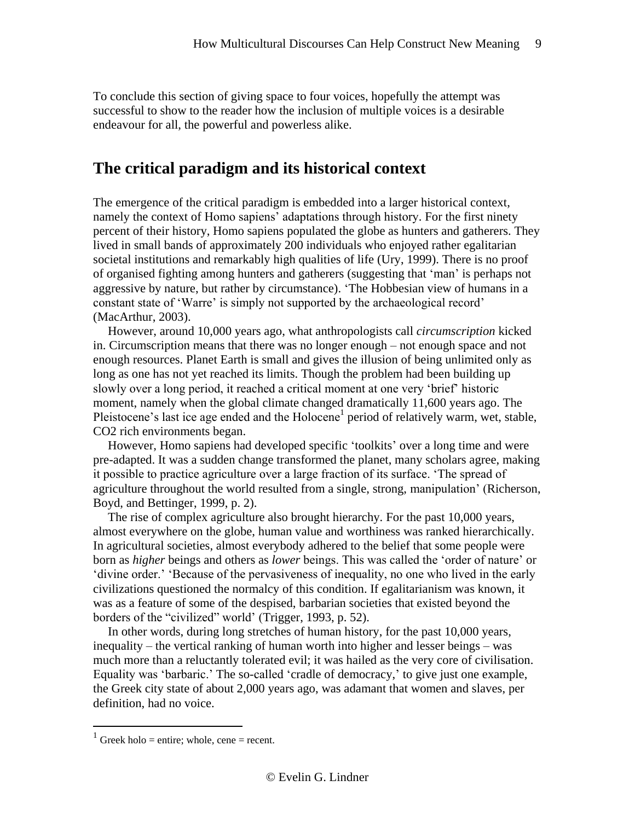To conclude this section of giving space to four voices, hopefully the attempt was successful to show to the reader how the inclusion of multiple voices is a desirable endeavour for all, the powerful and powerless alike.

## **The critical paradigm and its historical context**

The emergence of the critical paradigm is embedded into a larger historical context, namely the context of Homo sapiens' adaptations through history. For the first ninety percent of their history, Homo sapiens populated the globe as hunters and gatherers. They lived in small bands of approximately 200 individuals who enjoyed rather egalitarian societal institutions and remarkably high qualities of life (Ury, 1999). There is no proof of organised fighting among hunters and gatherers (suggesting that 'man' is perhaps not aggressive by nature, but rather by circumstance). 'The Hobbesian view of humans in a constant state of 'Warre' is simply not supported by the archaeological record' (MacArthur, 2003).

However, around 10,000 years ago, what anthropologists call *circumscription* kicked in. Circumscription means that there was no longer enough – not enough space and not enough resources. Planet Earth is small and gives the illusion of being unlimited only as long as one has not yet reached its limits. Though the problem had been building up slowly over a long period, it reached a critical moment at one very 'brief' historic moment, namely when the global climate changed dramatically 11,600 years ago. The Pleistocene's last ice age ended and the Holocene<sup>1</sup> period of relatively warm, wet, stable, CO2 rich environments began.

However, Homo sapiens had developed specific 'toolkits' over a long time and were pre-adapted. It was a sudden change transformed the planet, many scholars agree, making it possible to practice agriculture over a large fraction of its surface. 'The spread of agriculture throughout the world resulted from a single, strong, manipulation' (Richerson, Boyd, and Bettinger, 1999, p. 2).

The rise of complex agriculture also brought hierarchy. For the past 10,000 years, almost everywhere on the globe, human value and worthiness was ranked hierarchically. In agricultural societies, almost everybody adhered to the belief that some people were born as *higher* beings and others as *lower* beings. This was called the 'order of nature' or 'divine order.' 'Because of the pervasiveness of inequality, no one who lived in the early civilizations questioned the normalcy of this condition. If egalitarianism was known, it was as a feature of some of the despised, barbarian societies that existed beyond the borders of the "civilized" world' (Trigger, 1993, p. 52).

In other words, during long stretches of human history, for the past 10,000 years, inequality – the vertical ranking of human worth into higher and lesser beings – was much more than a reluctantly tolerated evil; it was hailed as the very core of civilisation. Equality was 'barbaric.' The so-called 'cradle of democracy,' to give just one example, the Greek city state of about 2,000 years ago, was adamant that women and slaves, per definition, had no voice.

 $\overline{a}$ 

 $1$  Greek holo = entire; whole, cene = recent.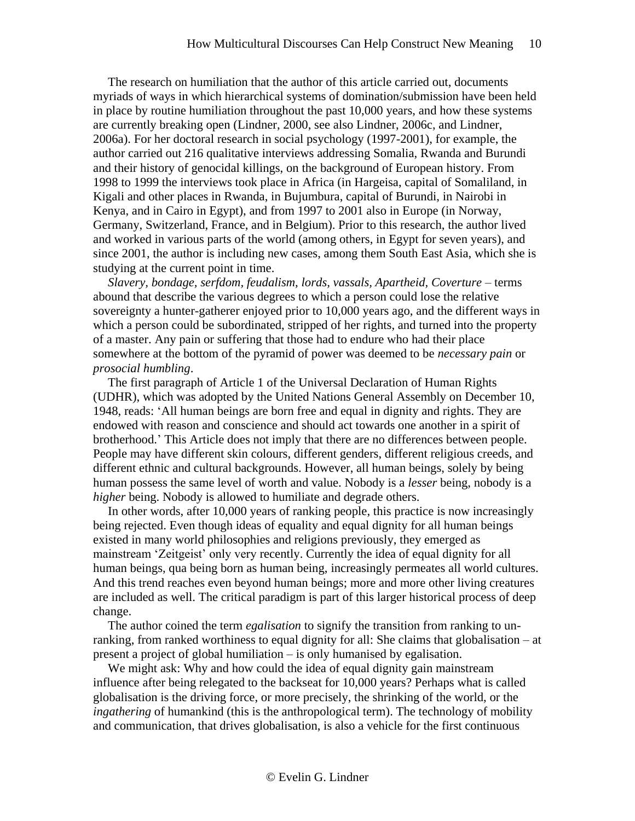The research on humiliation that the author of this article carried out, documents myriads of ways in which hierarchical systems of domination/submission have been held in place by routine humiliation throughout the past 10,000 years, and how these systems are currently breaking open (Lindner, 2000, see also Lindner, 2006c, and Lindner, 2006a). For her doctoral research in social psychology (1997-2001), for example, the author carried out 216 qualitative interviews addressing Somalia, Rwanda and Burundi and their history of genocidal killings, on the background of European history. From 1998 to 1999 the interviews took place in Africa (in Hargeisa, capital of Somaliland, in Kigali and other places in Rwanda, in Bujumbura, capital of Burundi, in Nairobi in Kenya, and in Cairo in Egypt), and from 1997 to 2001 also in Europe (in Norway, Germany, Switzerland, France, and in Belgium). Prior to this research, the author lived and worked in various parts of the world (among others, in Egypt for seven years), and since 2001, the author is including new cases, among them South East Asia, which she is studying at the current point in time.

*Slavery, bondage, serfdom, feudalism, lords, vassals, Apartheid, Coverture* – terms abound that describe the various degrees to which a person could lose the relative sovereignty a hunter-gatherer enjoyed prior to 10,000 years ago, and the different ways in which a person could be subordinated, stripped of her rights, and turned into the property of a master. Any pain or suffering that those had to endure who had their place somewhere at the bottom of the pyramid of power was deemed to be *necessary pain* or *prosocial humbling*.

The first paragraph of Article 1 of the Universal Declaration of Human Rights (UDHR), which was adopted by the United Nations General Assembly on December 10, 1948, reads: 'All human beings are born free and equal in dignity and rights. They are endowed with reason and conscience and should act towards one another in a spirit of brotherhood.' This Article does not imply that there are no differences between people. People may have different skin colours, different genders, different religious creeds, and different ethnic and cultural backgrounds. However, all human beings, solely by being human possess the same level of worth and value. Nobody is a *lesser* being, nobody is a *higher* being. Nobody is allowed to humiliate and degrade others.

In other words, after 10,000 years of ranking people, this practice is now increasingly being rejected. Even though ideas of equality and equal dignity for all human beings existed in many world philosophies and religions previously, they emerged as mainstream 'Zeitgeist' only very recently. Currently the idea of equal dignity for all human beings, qua being born as human being, increasingly permeates all world cultures. And this trend reaches even beyond human beings; more and more other living creatures are included as well. The critical paradigm is part of this larger historical process of deep change.

The author coined the term *egalisation* to signify the transition from ranking to unranking, from ranked worthiness to equal dignity for all: She claims that globalisation – at present a project of global humiliation – is only humanised by egalisation.

We might ask: Why and how could the idea of equal dignity gain mainstream influence after being relegated to the backseat for 10,000 years? Perhaps what is called globalisation is the driving force, or more precisely, the shrinking of the world, or the *ingathering* of humankind (this is the anthropological term). The technology of mobility and communication, that drives globalisation, is also a vehicle for the first continuous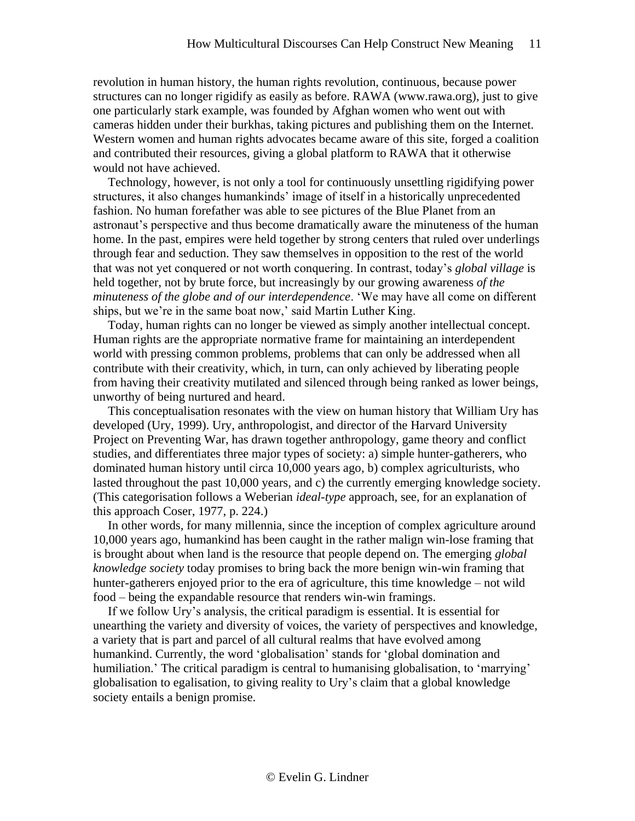revolution in human history, the human rights revolution, continuous, because power structures can no longer rigidify as easily as before. RAWA (www.rawa.org), just to give one particularly stark example, was founded by Afghan women who went out with cameras hidden under their burkhas, taking pictures and publishing them on the Internet. Western women and human rights advocates became aware of this site, forged a coalition and contributed their resources, giving a global platform to RAWA that it otherwise would not have achieved.

Technology, however, is not only a tool for continuously unsettling rigidifying power structures, it also changes humankinds' image of itself in a historically unprecedented fashion. No human forefather was able to see pictures of the Blue Planet from an astronaut's perspective and thus become dramatically aware the minuteness of the human home. In the past, empires were held together by strong centers that ruled over underlings through fear and seduction. They saw themselves in opposition to the rest of the world that was not yet conquered or not worth conquering. In contrast, today's *global village* is held together, not by brute force, but increasingly by our growing awareness *of the minuteness of the globe and of our interdependence*. 'We may have all come on different ships, but we're in the same boat now,' said Martin Luther King.

Today, human rights can no longer be viewed as simply another intellectual concept. Human rights are the appropriate normative frame for maintaining an interdependent world with pressing common problems, problems that can only be addressed when all contribute with their creativity, which, in turn, can only achieved by liberating people from having their creativity mutilated and silenced through being ranked as lower beings, unworthy of being nurtured and heard.

This conceptualisation resonates with the view on human history that William Ury has developed (Ury, 1999). Ury, anthropologist, and director of the Harvard University Project on Preventing War, has drawn together anthropology, game theory and conflict studies, and differentiates three major types of society: a) simple hunter-gatherers, who dominated human history until circa 10,000 years ago, b) complex agriculturists, who lasted throughout the past 10,000 years, and c) the currently emerging knowledge society. (This categorisation follows a Weberian *ideal-type* approach, see, for an explanation of this approach Coser, 1977, p. 224.)

In other words, for many millennia, since the inception of complex agriculture around 10,000 years ago, humankind has been caught in the rather malign win-lose framing that is brought about when land is the resource that people depend on. The emerging *global knowledge society* today promises to bring back the more benign win-win framing that hunter-gatherers enjoyed prior to the era of agriculture, this time knowledge – not wild food – being the expandable resource that renders win-win framings.

If we follow Ury's analysis, the critical paradigm is essential. It is essential for unearthing the variety and diversity of voices, the variety of perspectives and knowledge, a variety that is part and parcel of all cultural realms that have evolved among humankind. Currently, the word 'globalisation' stands for 'global domination and humiliation.' The critical paradigm is central to humanising globalisation, to 'marrying' globalisation to egalisation, to giving reality to Ury's claim that a global knowledge society entails a benign promise.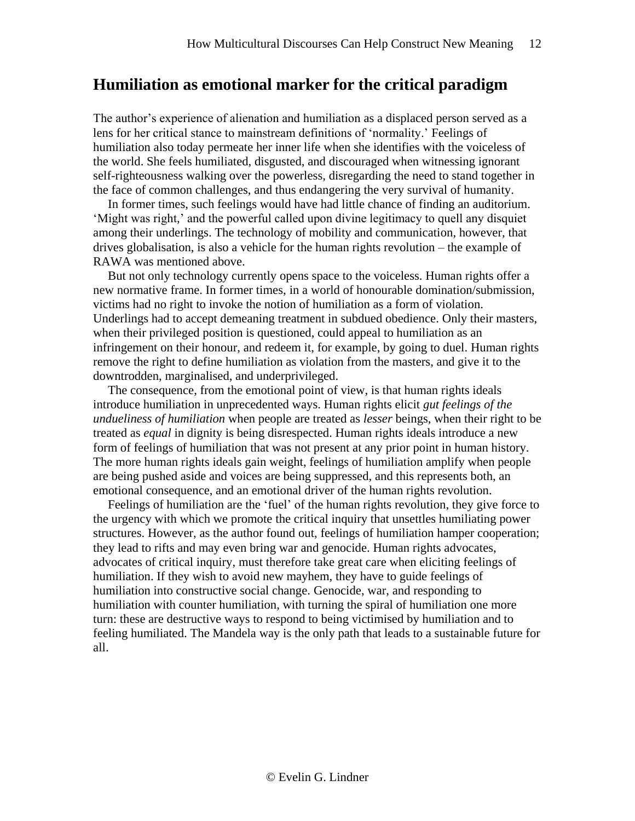### **Humiliation as emotional marker for the critical paradigm**

The author's experience of alienation and humiliation as a displaced person served as a lens for her critical stance to mainstream definitions of 'normality.' Feelings of humiliation also today permeate her inner life when she identifies with the voiceless of the world. She feels humiliated, disgusted, and discouraged when witnessing ignorant self-righteousness walking over the powerless, disregarding the need to stand together in the face of common challenges, and thus endangering the very survival of humanity.

In former times, such feelings would have had little chance of finding an auditorium. 'Might was right,' and the powerful called upon divine legitimacy to quell any disquiet among their underlings. The technology of mobility and communication, however, that drives globalisation, is also a vehicle for the human rights revolution – the example of RAWA was mentioned above.

But not only technology currently opens space to the voiceless. Human rights offer a new normative frame. In former times, in a world of honourable domination/submission, victims had no right to invoke the notion of humiliation as a form of violation. Underlings had to accept demeaning treatment in subdued obedience. Only their masters, when their privileged position is questioned, could appeal to humiliation as an infringement on their honour, and redeem it, for example, by going to duel. Human rights remove the right to define humiliation as violation from the masters, and give it to the downtrodden, marginalised, and underprivileged.

The consequence, from the emotional point of view, is that human rights ideals introduce humiliation in unprecedented ways. Human rights elicit *gut feelings of the undueliness of humiliation* when people are treated as *lesser* beings, when their right to be treated as *equal* in dignity is being disrespected. Human rights ideals introduce a new form of feelings of humiliation that was not present at any prior point in human history. The more human rights ideals gain weight, feelings of humiliation amplify when people are being pushed aside and voices are being suppressed, and this represents both, an emotional consequence, and an emotional driver of the human rights revolution.

Feelings of humiliation are the 'fuel' of the human rights revolution, they give force to the urgency with which we promote the critical inquiry that unsettles humiliating power structures. However, as the author found out, feelings of humiliation hamper cooperation; they lead to rifts and may even bring war and genocide. Human rights advocates, advocates of critical inquiry, must therefore take great care when eliciting feelings of humiliation. If they wish to avoid new mayhem, they have to guide feelings of humiliation into constructive social change. Genocide, war, and responding to humiliation with counter humiliation, with turning the spiral of humiliation one more turn: these are destructive ways to respond to being victimised by humiliation and to feeling humiliated. The Mandela way is the only path that leads to a sustainable future for all.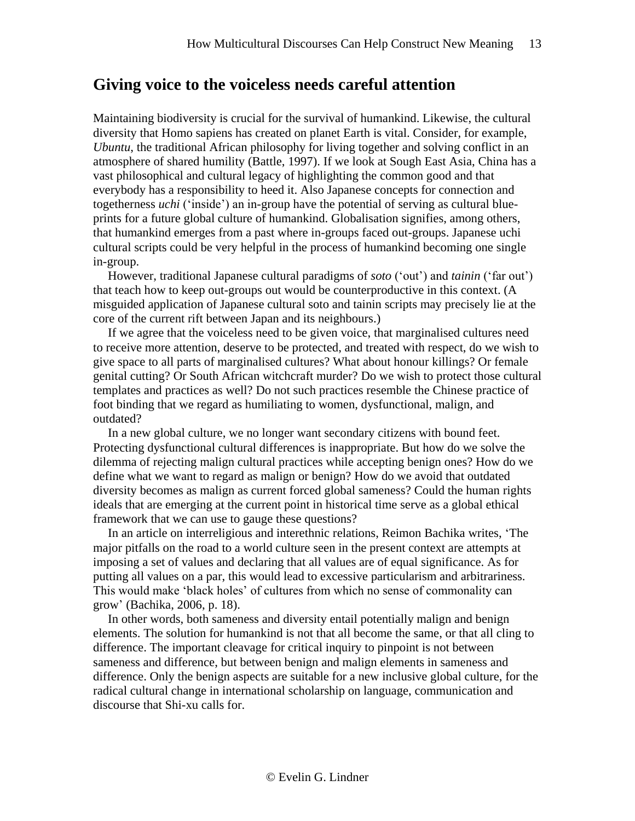## **Giving voice to the voiceless needs careful attention**

Maintaining biodiversity is crucial for the survival of humankind. Likewise, the cultural diversity that Homo sapiens has created on planet Earth is vital. Consider, for example, *Ubuntu*, the traditional African philosophy for living together and solving conflict in an atmosphere of shared humility (Battle, 1997). If we look at Sough East Asia, China has a vast philosophical and cultural legacy of highlighting the common good and that everybody has a responsibility to heed it. Also Japanese concepts for connection and togetherness *uchi* ('inside') an in-group have the potential of serving as cultural blueprints for a future global culture of humankind. Globalisation signifies, among others, that humankind emerges from a past where in-groups faced out-groups. Japanese uchi cultural scripts could be very helpful in the process of humankind becoming one single in-group.

However, traditional Japanese cultural paradigms of *soto* ('out') and *tainin* ('far out') that teach how to keep out-groups out would be counterproductive in this context. (A misguided application of Japanese cultural soto and tainin scripts may precisely lie at the core of the current rift between Japan and its neighbours.)

If we agree that the voiceless need to be given voice, that marginalised cultures need to receive more attention, deserve to be protected, and treated with respect, do we wish to give space to all parts of marginalised cultures? What about honour killings? Or female genital cutting? Or South African witchcraft murder? Do we wish to protect those cultural templates and practices as well? Do not such practices resemble the Chinese practice of foot binding that we regard as humiliating to women, dysfunctional, malign, and outdated?

In a new global culture, we no longer want secondary citizens with bound feet. Protecting dysfunctional cultural differences is inappropriate. But how do we solve the dilemma of rejecting malign cultural practices while accepting benign ones? How do we define what we want to regard as malign or benign? How do we avoid that outdated diversity becomes as malign as current forced global sameness? Could the human rights ideals that are emerging at the current point in historical time serve as a global ethical framework that we can use to gauge these questions?

In an article on interreligious and interethnic relations, Reimon Bachika writes, 'The major pitfalls on the road to a world culture seen in the present context are attempts at imposing a set of values and declaring that all values are of equal significance. As for putting all values on a par, this would lead to excessive particularism and arbitrariness. This would make 'black holes' of cultures from which no sense of commonality can grow' (Bachika, 2006, p. 18).

In other words, both sameness and diversity entail potentially malign and benign elements. The solution for humankind is not that all become the same, or that all cling to difference. The important cleavage for critical inquiry to pinpoint is not between sameness and difference, but between benign and malign elements in sameness and difference. Only the benign aspects are suitable for a new inclusive global culture, for the radical cultural change in international scholarship on language, communication and discourse that Shi-xu calls for.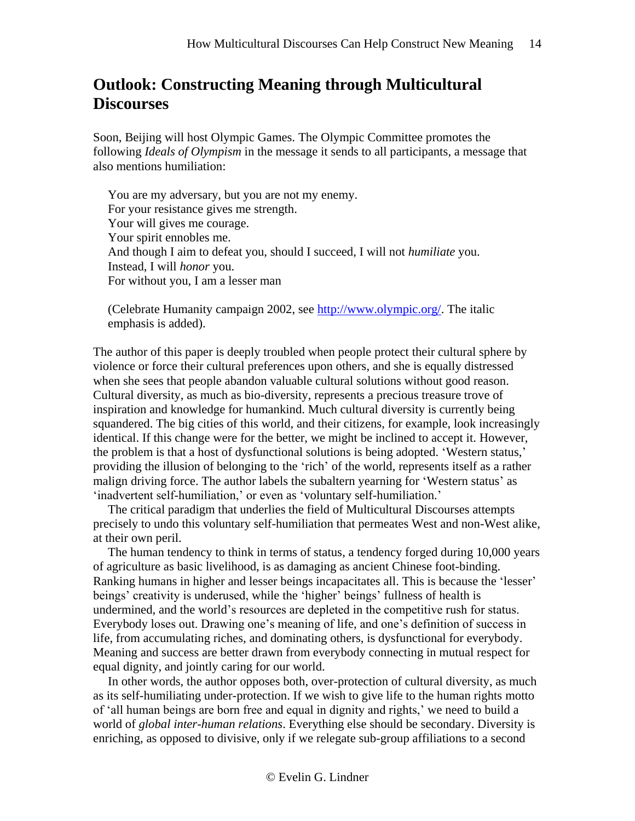# **Outlook: Constructing Meaning through Multicultural Discourses**

Soon, Beijing will host Olympic Games. The Olympic Committee promotes the following *Ideals of Olympism* in the message it sends to all participants, a message that also mentions humiliation:

You are my adversary, but you are not my enemy. For your resistance gives me strength. Your will gives me courage. Your spirit ennobles me. And though I aim to defeat you, should I succeed, I will not *humiliate* you. Instead, I will *honor* you. For without you, I am a lesser man

(Celebrate Humanity campaign 2002, see [http://www.olympic.org/.](http://www.olympic.org/) The italic emphasis is added).

The author of this paper is deeply troubled when people protect their cultural sphere by violence or force their cultural preferences upon others, and she is equally distressed when she sees that people abandon valuable cultural solutions without good reason. Cultural diversity, as much as bio-diversity, represents a precious treasure trove of inspiration and knowledge for humankind. Much cultural diversity is currently being squandered. The big cities of this world, and their citizens, for example, look increasingly identical. If this change were for the better, we might be inclined to accept it. However, the problem is that a host of dysfunctional solutions is being adopted. 'Western status,' providing the illusion of belonging to the 'rich' of the world, represents itself as a rather malign driving force. The author labels the subaltern yearning for 'Western status' as 'inadvertent self-humiliation,' or even as 'voluntary self-humiliation.'

The critical paradigm that underlies the field of Multicultural Discourses attempts precisely to undo this voluntary self-humiliation that permeates West and non-West alike, at their own peril.

The human tendency to think in terms of status, a tendency forged during 10,000 years of agriculture as basic livelihood, is as damaging as ancient Chinese foot-binding. Ranking humans in higher and lesser beings incapacitates all. This is because the 'lesser' beings' creativity is underused, while the 'higher' beings' fullness of health is undermined, and the world's resources are depleted in the competitive rush for status. Everybody loses out. Drawing one's meaning of life, and one's definition of success in life, from accumulating riches, and dominating others, is dysfunctional for everybody. Meaning and success are better drawn from everybody connecting in mutual respect for equal dignity, and jointly caring for our world.

In other words, the author opposes both, over-protection of cultural diversity, as much as its self-humiliating under-protection. If we wish to give life to the human rights motto of 'all human beings are born free and equal in dignity and rights,' we need to build a world of *global inter-human relations*. Everything else should be secondary. Diversity is enriching, as opposed to divisive, only if we relegate sub-group affiliations to a second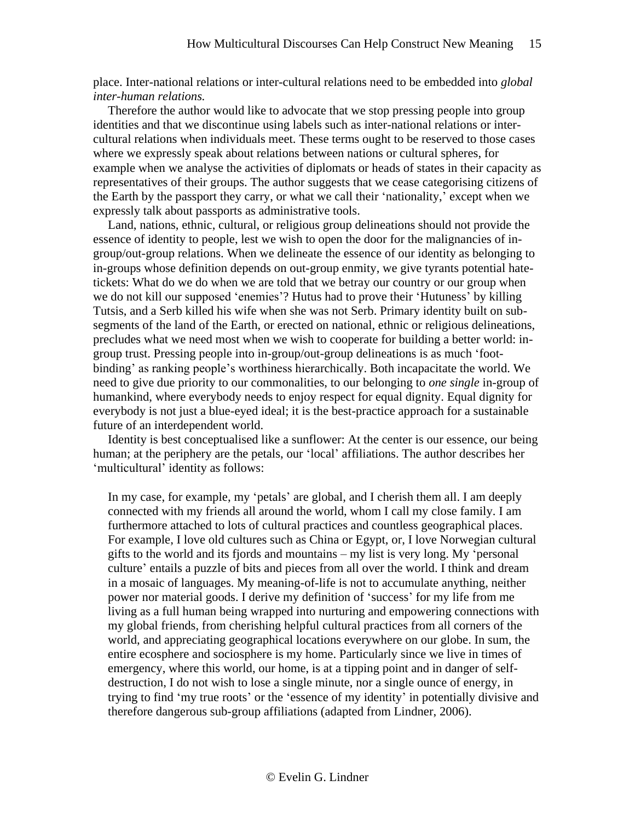place. Inter-national relations or inter-cultural relations need to be embedded into *global inter-human relations.*

Therefore the author would like to advocate that we stop pressing people into group identities and that we discontinue using labels such as inter-national relations or intercultural relations when individuals meet. These terms ought to be reserved to those cases where we expressly speak about relations between nations or cultural spheres, for example when we analyse the activities of diplomats or heads of states in their capacity as representatives of their groups. The author suggests that we cease categorising citizens of the Earth by the passport they carry, or what we call their 'nationality,' except when we expressly talk about passports as administrative tools.

Land, nations, ethnic, cultural, or religious group delineations should not provide the essence of identity to people, lest we wish to open the door for the malignancies of ingroup/out-group relations. When we delineate the essence of our identity as belonging to in-groups whose definition depends on out-group enmity, we give tyrants potential hatetickets: What do we do when we are told that we betray our country or our group when we do not kill our supposed 'enemies'? Hutus had to prove their 'Hutuness' by killing Tutsis, and a Serb killed his wife when she was not Serb. Primary identity built on subsegments of the land of the Earth, or erected on national, ethnic or religious delineations, precludes what we need most when we wish to cooperate for building a better world: ingroup trust. Pressing people into in-group/out-group delineations is as much 'footbinding' as ranking people's worthiness hierarchically. Both incapacitate the world. We need to give due priority to our commonalities, to our belonging to *one single* in-group of humankind, where everybody needs to enjoy respect for equal dignity. Equal dignity for everybody is not just a blue-eyed ideal; it is the best-practice approach for a sustainable future of an interdependent world.

Identity is best conceptualised like a sunflower: At the center is our essence, our being human; at the periphery are the petals, our 'local' affiliations. The author describes her 'multicultural' identity as follows:

In my case, for example, my 'petals' are global, and I cherish them all. I am deeply connected with my friends all around the world, whom I call my close family. I am furthermore attached to lots of cultural practices and countless geographical places. For example, I love old cultures such as China or Egypt, or, I love Norwegian cultural gifts to the world and its fjords and mountains – my list is very long. My 'personal culture' entails a puzzle of bits and pieces from all over the world. I think and dream in a mosaic of languages. My meaning-of-life is not to accumulate anything, neither power nor material goods. I derive my definition of 'success' for my life from me living as a full human being wrapped into nurturing and empowering connections with my global friends, from cherishing helpful cultural practices from all corners of the world, and appreciating geographical locations everywhere on our globe. In sum, the entire ecosphere and sociosphere is my home. Particularly since we live in times of emergency, where this world, our home, is at a tipping point and in danger of selfdestruction, I do not wish to lose a single minute, nor a single ounce of energy, in trying to find 'my true roots' or the 'essence of my identity' in potentially divisive and therefore dangerous sub-group affiliations (adapted from Lindner, 2006).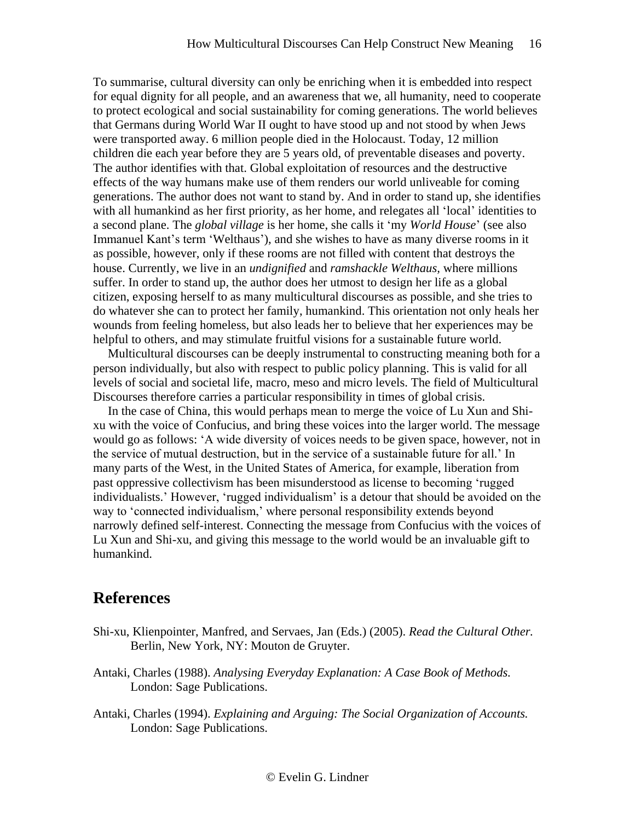To summarise, cultural diversity can only be enriching when it is embedded into respect for equal dignity for all people, and an awareness that we, all humanity, need to cooperate to protect ecological and social sustainability for coming generations. The world believes that Germans during World War II ought to have stood up and not stood by when Jews were transported away. 6 million people died in the Holocaust. Today, 12 million children die each year before they are 5 years old, of preventable diseases and poverty. The author identifies with that. Global exploitation of resources and the destructive effects of the way humans make use of them renders our world unliveable for coming generations. The author does not want to stand by. And in order to stand up, she identifies with all humankind as her first priority, as her home, and relegates all 'local' identities to a second plane. The *global village* is her home, she calls it 'my *World House*' (see also Immanuel Kant's term 'Welthaus'), and she wishes to have as many diverse rooms in it as possible, however, only if these rooms are not filled with content that destroys the house. Currently, we live in an *undignified* and *ramshackle Welthaus,* where millions suffer. In order to stand up, the author does her utmost to design her life as a global citizen, exposing herself to as many multicultural discourses as possible, and she tries to do whatever she can to protect her family, humankind. This orientation not only heals her wounds from feeling homeless, but also leads her to believe that her experiences may be helpful to others, and may stimulate fruitful visions for a sustainable future world.

Multicultural discourses can be deeply instrumental to constructing meaning both for a person individually, but also with respect to public policy planning. This is valid for all levels of social and societal life, macro, meso and micro levels. The field of Multicultural Discourses therefore carries a particular responsibility in times of global crisis.

In the case of China, this would perhaps mean to merge the voice of Lu Xun and Shixu with the voice of Confucius, and bring these voices into the larger world. The message would go as follows: 'A wide diversity of voices needs to be given space, however, not in the service of mutual destruction, but in the service of a sustainable future for all.' In many parts of the West, in the United States of America, for example, liberation from past oppressive collectivism has been misunderstood as license to becoming 'rugged individualists.' However, 'rugged individualism' is a detour that should be avoided on the way to 'connected individualism,' where personal responsibility extends beyond narrowly defined self-interest. Connecting the message from Confucius with the voices of Lu Xun and Shi-xu, and giving this message to the world would be an invaluable gift to humankind.

### **References**

- Shi-xu, Klienpointer, Manfred, and Servaes, Jan (Eds.) (2005). *Read the Cultural Other.*  Berlin, New York, NY: Mouton de Gruyter.
- Antaki, Charles (1988). *Analysing Everyday Explanation: A Case Book of Methods.*  London: Sage Publications.
- Antaki, Charles (1994). *Explaining and Arguing: The Social Organization of Accounts.*  London: Sage Publications.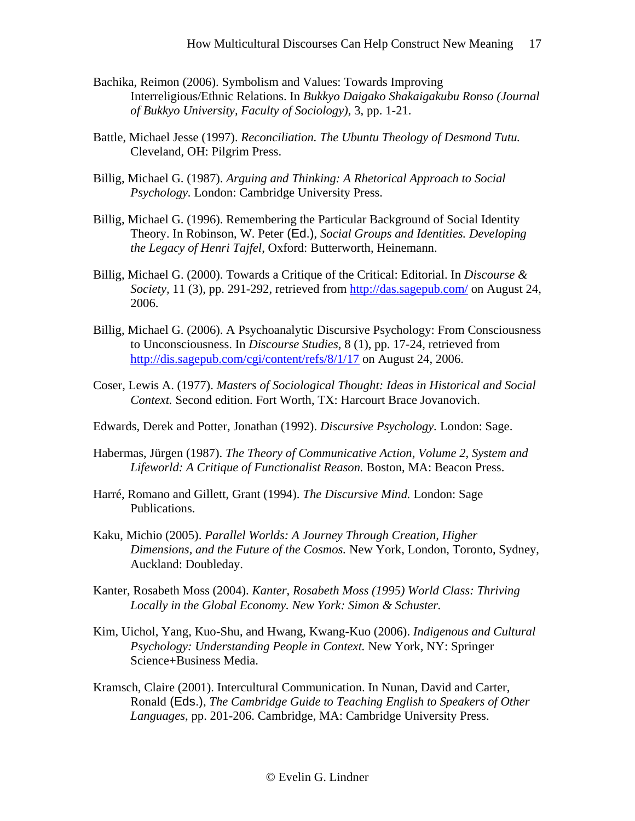- Bachika, Reimon (2006). Symbolism and Values: Towards Improving Interreligious/Ethnic Relations. In *Bukkyo Daigako Shakaigakubu Ronso (Journal of Bukkyo University, Faculty of Sociology),* 3, pp. 1-21.
- Battle, Michael Jesse (1997). *Reconciliation. The Ubuntu Theology of Desmond Tutu.*  Cleveland, OH: Pilgrim Press.
- Billig, Michael G. (1987). *Arguing and Thinking: A Rhetorical Approach to Social Psychology.* London: Cambridge University Press.
- Billig, Michael G. (1996). Remembering the Particular Background of Social Identity Theory. In Robinson, W. Peter (Ed.), *Social Groups and Identities. Developing the Legacy of Henri Tajfel*, Oxford: Butterworth, Heinemann.
- Billig, Michael G. (2000). Towards a Critique of the Critical: Editorial. In *Discourse & Society,* 11 (3), pp. 291-292, retrieved from<http://das.sagepub.com/> on August 24, 2006.
- Billig, Michael G. (2006). A Psychoanalytic Discursive Psychology: From Consciousness to Unconsciousness. In *Discourse Studies,* 8 (1), pp. 17-24, retrieved from <http://dis.sagepub.com/cgi/content/refs/8/1/17> on August 24, 2006.
- Coser, Lewis A. (1977). *Masters of Sociological Thought: Ideas in Historical and Social Context.* Second edition. Fort Worth, TX: Harcourt Brace Jovanovich.
- Edwards, Derek and Potter, Jonathan (1992). *Discursive Psychology.* London: Sage.
- Habermas, Jürgen (1987). *The Theory of Communicative Action, Volume 2, System and Lifeworld: A Critique of Functionalist Reason.* Boston, MA: Beacon Press.
- Harré, Romano and Gillett, Grant (1994). *The Discursive Mind.* London: Sage Publications.
- Kaku, Michio (2005). *Parallel Worlds: A Journey Through Creation, Higher Dimensions, and the Future of the Cosmos.* New York, London, Toronto, Sydney, Auckland: Doubleday.
- Kanter, Rosabeth Moss (2004). *Kanter, Rosabeth Moss (1995) World Class: Thriving Locally in the Global Economy. New York: Simon & Schuster.*
- Kim, Uichol, Yang, Kuo-Shu, and Hwang, Kwang-Kuo (2006). *Indigenous and Cultural Psychology: Understanding People in Context.* New York, NY: Springer Science+Business Media.
- Kramsch, Claire (2001). Intercultural Communication. In Nunan, David and Carter, Ronald (Eds.), *The Cambridge Guide to Teaching English to Speakers of Other Languages*, pp. 201-206. Cambridge, MA: Cambridge University Press.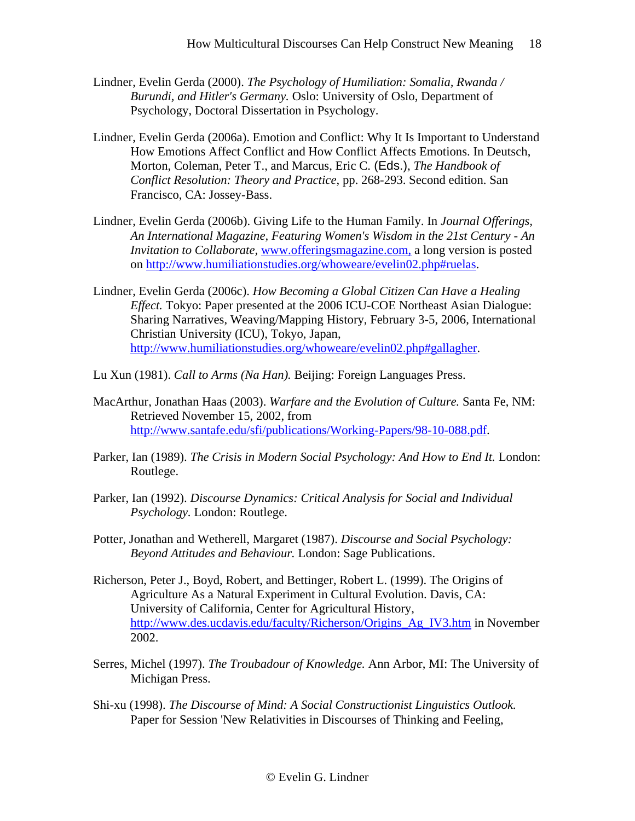- Lindner, Evelin Gerda (2000). *The Psychology of Humiliation: Somalia, Rwanda / Burundi, and Hitler's Germany.* Oslo: University of Oslo, Department of Psychology, Doctoral Dissertation in Psychology.
- Lindner, Evelin Gerda (2006a). Emotion and Conflict: Why It Is Important to Understand How Emotions Affect Conflict and How Conflict Affects Emotions. In Deutsch, Morton, Coleman, Peter T., and Marcus, Eric C. (Eds.), *The Handbook of Conflict Resolution: Theory and Practice*, pp. 268-293. Second edition. San Francisco, CA: Jossey-Bass.
- Lindner, Evelin Gerda (2006b). Giving Life to the Human Family. In *Journal Offerings, An International Magazine, Featuring Women's Wisdom in the 21st Century - An Invitation to Collaborate, [www.offeringsmagazine.com,](http://www.offeringsmagazine.com,/) a long version is posted* on [http://www.humiliationstudies.org/whoweare/evelin02.php#ruelas.](http://www.humiliationstudies.org/whoweare/evelin02.php#ruelas)
- Lindner, Evelin Gerda (2006c). *How Becoming a Global Citizen Can Have a Healing Effect.* Tokyo: Paper presented at the 2006 ICU-COE Northeast Asian Dialogue: Sharing Narratives, Weaving/Mapping History, February 3-5, 2006, International Christian University (ICU), Tokyo, Japan, [http://www.humiliationstudies.org/whoweare/evelin02.php#gallagher.](http://www.humiliationstudies.org/whoweare/evelin02.php#gallagher)
- Lu Xun (1981). *Call to Arms (Na Han).* Beijing: Foreign Languages Press.
- MacArthur, Jonathan Haas (2003). *Warfare and the Evolution of Culture.* Santa Fe, NM: Retrieved November 15, 2002, from [http://www.santafe.edu/sfi/publications/Working-Papers/98-10-088.pdf.](http://www.santafe.edu/sfi/publications/Working-Papers/98-10-088.pdf)
- Parker, Ian (1989). *The Crisis in Modern Social Psychology: And How to End It.* London: Routlege.
- Parker, Ian (1992). *Discourse Dynamics: Critical Analysis for Social and Individual Psychology.* London: Routlege.
- Potter, Jonathan and Wetherell, Margaret (1987). *Discourse and Social Psychology: Beyond Attitudes and Behaviour.* London: Sage Publications.
- Richerson, Peter J., Boyd, Robert, and Bettinger, Robert L. (1999). The Origins of Agriculture As a Natural Experiment in Cultural Evolution. Davis, CA: University of California, Center for Agricultural History, [http://www.des.ucdavis.edu/faculty/Richerson/Origins\\_Ag\\_IV3.htm](http://www.des.ucdavis.edu/faculty/Richerson/Origins_Ag_IV3.htm) in November 2002.
- Serres, Michel (1997). *The Troubadour of Knowledge.* Ann Arbor, MI: The University of Michigan Press.
- Shi-xu (1998). *The Discourse of Mind: A Social Constructionist Linguistics Outlook.* Paper for Session 'New Relativities in Discourses of Thinking and Feeling,